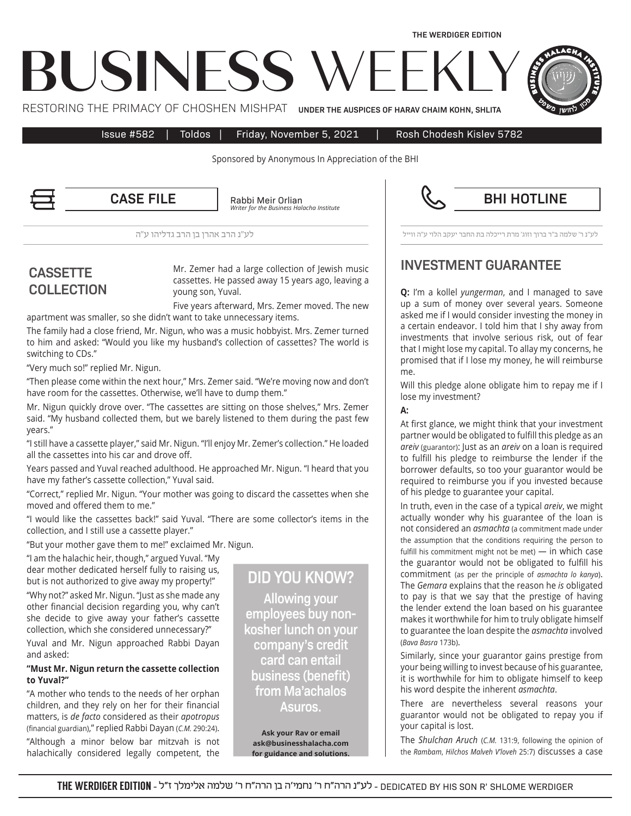Issue #582 | Toldos | Friday, November 5, 2021 | Rosh Chodesh Kislev 5782

**THE WERDIGER EDITION** 

Sponsored by Anonymous In Appreciation of the BHI

Rabbi Meir Orlian *Institute Halacha Business the for Writer*

לע"נ ר' שלמה ב"ר ברוך וזוג' מרת רייכלה בת החבר יעקב הלוי ע"ה ווייל לע"נ הרב אהרן בן הרב גדליהו ע"ה

# **CASSETTE COLLECTION**

Mr. Zemer had a large collection of Jewish music cassettes. He passed away 15 years ago, leaving a young son, Yuval.

Five years afterward, Mrs. Zemer moved. The new apartment was smaller, so she didn't want to take unnecessary items.

The family had a close friend, Mr. Nigun, who was a music hobbyist. Mrs. Zemer turned to him and asked: "Would you like my husband's collection of cassettes? The world is switching to CDs."

"Very much so!" replied Mr. Nigun.

"Then please come within the next hour," Mrs. Zemer said. "We're moving now and don't have room for the cassettes. Otherwise, we'll have to dump them."

Mr. Nigun quickly drove over. "The cassettes are sitting on those shelves," Mrs. Zemer said. "My husband collected them, but we barely listened to them during the past few vears."

" I still have a cassette player," said Mr. Nigun. "I'll enjoy Mr. Zemer's collection." He loaded all the cassettes into his car and drove off.

Years passed and Yuval reached adulthood. He approached Mr. Nigun. "I heard that you have my father's cassette collection," Yuval said.

"Correct," replied Mr. Nigun. "Your mother was going to discard the cassettes when she moved and offered them to me."

"I would like the cassettes back!" said Yuval. "There are some collector's items in the collection, and I still use a cassette player."

"But your mother gave them to me!" exclaimed Mr. Nigun.

"I am the halachic heir, though," argued Yuval. "My dear mother dedicated herself fully to raising us, but is not authorized to give away my property!" "Why not?" asked Mr. Nigun. "Just as she made any

other financial decision regarding you, why can't she decide to give away your father's cassette collection, which she considered unnecessary?"

Yuval and Mr. Nigun approached Rabbi Dayan and asked:

### "Must Mr. Nigun return the cassette collection to Yuval?"

"A mother who tends to the needs of her orphan children, and they rely on her for their financial matters, is de facto considered as their apotropus (financial guardian)," replied Rabbi Dayan (C.M. 290:24). "Although a minor below bar mitzvah is not halachically considered legally competent, the

**DID YOU KNOW? Allowing your** kosher lunch on your employees buy noncompany's credit **card can entail business (benefit)** from Ma'achalos **.Asuros**

**Ask your Rav or email** ask@businesshalacha.com for guidance and solutions. **INVESTMENT GUARANTEE** 

**Q:** I'm a kollel yungerman, and I managed to save up a sum of money over several years. Someone asked me if I would consider investing the money in a certain endeavor. I told him that I shy away from investments that involve serious risk, out of fear that I might lose my capital. To allay my concerns, he promised that if I lose my money, he will reimburse .me

Will this pledge alone obligate him to repay me if I lose my investment?

#### **:A**

At first glance, we might think that your investment partner would be obligated to fulfill this pledge as an areiv (guarantor): Just as an *areiv* on a loan is required to fulfill his pledge to reimburse the lender if the borrower defaults, so too your guarantor would be required to reimburse you if you invested because of his pledge to guarantee your capital.

In truth, even in the case of a typical *areiv*, we might actually wonder why his guarantee of the loan is not considered an *asmachta* (a commitment made under the assumption that the conditions requiring the person to fulfill his commitment might not be met) — in which case the guarantor would not be obligated to fulfill his commitment (as per the principle of *asmachta lo kanya*). The *Gemara* explains that the reason he is obligated to pay is that we say that the prestige of having the lender extend the loan based on his guarantee makes it worthwhile for him to truly obligate himself to guarantee the loan despite the *asmachta* involved (Bava Basra 173b).

Similarly, since your guarantor gains prestige from your being willing to invest because of his guarantee, it is worthwhile for him to obligate himself to keep his word despite the inherent *asmachta*.

There are nevertheless several reasons your guarantor would not be obligated to repay you if your capital is lost.

The *Shulchan Aruch* (C.M. 131:9, following the opinion of the Rambam, Hilchos Malveh V'loveh 25:7) discusses a case